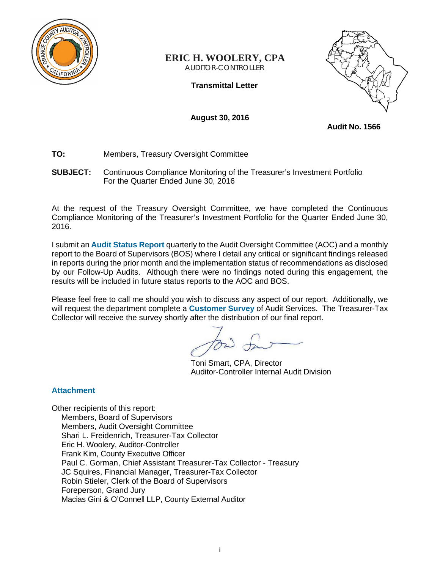

## **ERIC H. WOOLERY, CPA** AUDITOR-CONTROLLER

**Transmittal Letter** 



**August 30, 2016** 

**Audit No. 1566** 

- **TO:** Members, Treasury Oversight Committee
- **SUBJECT:** Continuous Compliance Monitoring of the Treasurer's Investment Portfolio For the Quarter Ended June 30, 2016

At the request of the Treasury Oversight Committee, we have completed the Continuous Compliance Monitoring of the Treasurer's Investment Portfolio for the Quarter Ended June 30, 2016.

I submit an **Audit Status Report** quarterly to the Audit Oversight Committee (AOC) and a monthly report to the Board of Supervisors (BOS) where I detail any critical or significant findings released in reports during the prior month and the implementation status of recommendations as disclosed by our Follow-Up Audits. Although there were no findings noted during this engagement, the results will be included in future status reports to the AOC and BOS.

Please feel free to call me should you wish to discuss any aspect of our report. Additionally, we will request the department complete a **Customer Survey** of Audit Services. The Treasurer-Tax Collector will receive the survey shortly after the distribution of our final report.

Toni Smart, CPA, Director Auditor-Controller Internal Audit Division

## **Attachment**

Other recipients of this report: Members, Board of Supervisors Members, Audit Oversight Committee Shari L. Freidenrich, Treasurer-Tax Collector Eric H. Woolery, Auditor-Controller Frank Kim, County Executive Officer Paul C. Gorman, Chief Assistant Treasurer-Tax Collector - Treasury JC Squires, Financial Manager, Treasurer-Tax Collector Robin Stieler, Clerk of the Board of Supervisors Foreperson, Grand Jury Macias Gini & O'Connell LLP, County External Auditor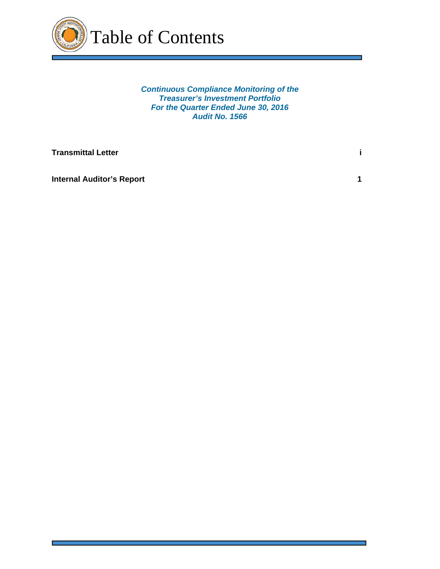

*Continuous Compliance Monitoring of the Treasurer's Investment Portfolio For the Quarter Ended June 30, 2016 Audit No. 1566* 

**Transmittal Letter** is a set of the set of the set of the set of the set of the set of the set of the set of the set of the set of the set of the set of the set of the set of the set of the set of the set of the set of th

**Internal Auditor's Report 1 1 <b>1**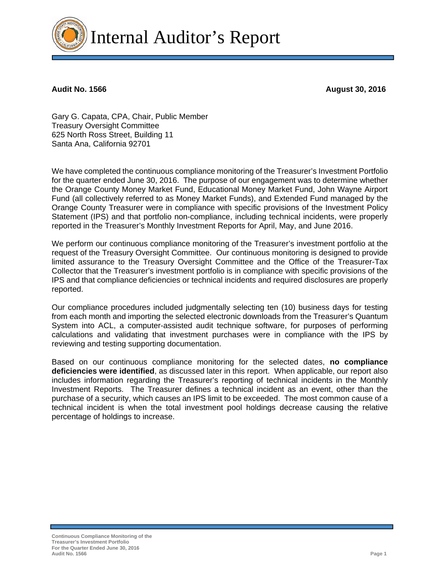

**Audit No. 1566 August 30, 2016** 

Gary G. Capata, CPA, Chair, Public Member Treasury Oversight Committee 625 North Ross Street, Building 11 Santa Ana, California 92701

We have completed the continuous compliance monitoring of the Treasurer's Investment Portfolio for the quarter ended June 30, 2016. The purpose of our engagement was to determine whether the Orange County Money Market Fund, Educational Money Market Fund, John Wayne Airport Fund (all collectively referred to as Money Market Funds), and Extended Fund managed by the Orange County Treasurer were in compliance with specific provisions of the Investment Policy Statement (IPS) and that portfolio non-compliance, including technical incidents, were properly reported in the Treasurer's Monthly Investment Reports for April, May, and June 2016.

We perform our continuous compliance monitoring of the Treasurer's investment portfolio at the request of the Treasury Oversight Committee. Our continuous monitoring is designed to provide limited assurance to the Treasury Oversight Committee and the Office of the Treasurer-Tax Collector that the Treasurer's investment portfolio is in compliance with specific provisions of the IPS and that compliance deficiencies or technical incidents and required disclosures are properly reported.

Our compliance procedures included judgmentally selecting ten (10) business days for testing from each month and importing the selected electronic downloads from the Treasurer's Quantum System into ACL, a computer-assisted audit technique software, for purposes of performing calculations and validating that investment purchases were in compliance with the IPS by reviewing and testing supporting documentation.

Based on our continuous compliance monitoring for the selected dates, **no compliance deficiencies were identified**, as discussed later in this report. When applicable, our report also includes information regarding the Treasurer's reporting of technical incidents in the Monthly Investment Reports. The Treasurer defines a technical incident as an event, other than the purchase of a security, which causes an IPS limit to be exceeded. The most common cause of a technical incident is when the total investment pool holdings decrease causing the relative percentage of holdings to increase.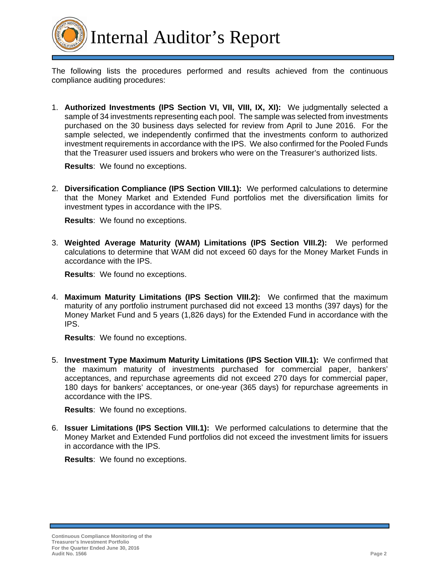

Internal Auditor's Report

The following lists the procedures performed and results achieved from the continuous compliance auditing procedures:

1. **Authorized Investments (IPS Section VI, VII, VIII, IX, XI):** We judgmentally selected a sample of 34 investments representing each pool. The sample was selected from investments purchased on the 30 business days selected for review from April to June 2016. For the sample selected, we independently confirmed that the investments conform to authorized investment requirements in accordance with the IPS. We also confirmed for the Pooled Funds that the Treasurer used issuers and brokers who were on the Treasurer's authorized lists.

**Results**: We found no exceptions.

2. **Diversification Compliance (IPS Section VIII.1):** We performed calculations to determine that the Money Market and Extended Fund portfolios met the diversification limits for investment types in accordance with the IPS.

**Results**: We found no exceptions.

3. **Weighted Average Maturity (WAM) Limitations (IPS Section VIII.2):** We performed calculations to determine that WAM did not exceed 60 days for the Money Market Funds in accordance with the IPS.

**Results**: We found no exceptions.

4. **Maximum Maturity Limitations (IPS Section VIII.2):** We confirmed that the maximum maturity of any portfolio instrument purchased did not exceed 13 months (397 days) for the Money Market Fund and 5 years (1,826 days) for the Extended Fund in accordance with the IPS.

**Results**: We found no exceptions.

5. **Investment Type Maximum Maturity Limitations (IPS Section VIII.1):** We confirmed that the maximum maturity of investments purchased for commercial paper, bankers' acceptances, and repurchase agreements did not exceed 270 days for commercial paper, 180 days for bankers' acceptances, or one-year (365 days) for repurchase agreements in accordance with the IPS.

**Results**: We found no exceptions.

6. **Issuer Limitations (IPS Section VIII.1):** We performed calculations to determine that the Money Market and Extended Fund portfolios did not exceed the investment limits for issuers in accordance with the IPS.

**Results**: We found no exceptions.